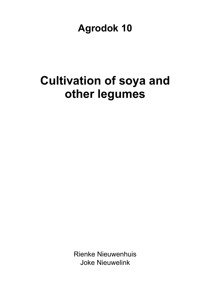**Agrodok 10** 

# **Cultivation of soya and other legumes**

Rienke Nieuwenhuis Joke Nieuwelink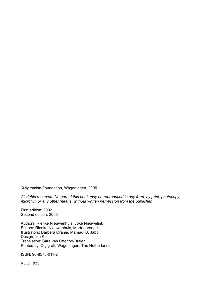© Agromisa Foundation, Wageningen, 2005.

*All rights reserved. No part of this book may be reproduced in any form, by print, photocopy, microfilm or any other means, without written permission from the publisher.* 

First edition: 2002 Second edition: 2005

Authors: Rienke Nieuwenhuis, Joke Nieuwelink Editors: Rienke Nieuwenhuis, Marten Voogd Illustrators: Barbera Oranje, Mamadi B. Jabbi Design: Ien Ko Translation: Sara van Otterloo-Butler Printed by: Digigrafi, Wageningen, The Netherlands

ISBN: 90-8573-011-2

NUGI: 835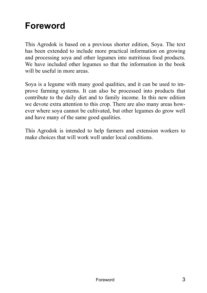## **Foreword**

This Agrodok is based on a previous shorter edition, Soya. The text has been extended to include more practical information on growing and processing soya and other legumes into nutritious food products. We have included other legumes so that the information in the book will be useful in more areas.

Soya is a legume with many good qualities, and it can be used to improve farming systems. It can also be processed into products that contribute to the daily diet and to family income. In this new edition we devote extra attention to this crop. There are also many areas however where soya cannot be cultivated, but other legumes do grow well and have many of the same good qualities.

This Agrodok is intended to help farmers and extension workers to make choices that will work well under local conditions.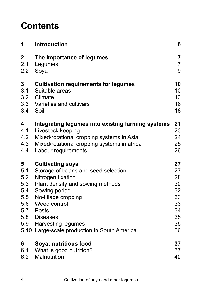## **Contents**

| 1                                           | <b>Introduction</b>                                                                                                                                                                                                                                                                    | 6                                                              |
|---------------------------------------------|----------------------------------------------------------------------------------------------------------------------------------------------------------------------------------------------------------------------------------------------------------------------------------------|----------------------------------------------------------------|
| $\mathbf 2$                                 | The importance of legumes                                                                                                                                                                                                                                                              | $\overline{7}$                                                 |
| 2.1                                         | Legumes                                                                                                                                                                                                                                                                                | $\overline{7}$                                                 |
| 2.2                                         | Soya                                                                                                                                                                                                                                                                                   | 9                                                              |
| 3<br>3.1<br>3.2<br>3.4                      | <b>Cultivation requirements for legumes</b><br>Suitable areas<br>Climate<br>3.3 Varieties and cultivars<br>Soil                                                                                                                                                                        | 10<br>10<br>13<br>16<br>18                                     |
| 4                                           | Integrating legumes into existing farming systems                                                                                                                                                                                                                                      | 21                                                             |
| 4.1                                         | Livestock keeping                                                                                                                                                                                                                                                                      | 23                                                             |
| 4.2                                         | Mixed/rotational cropping systems in Asia                                                                                                                                                                                                                                              | 24                                                             |
| 4.3                                         | Mixed/rotational cropping systems in africa                                                                                                                                                                                                                                            | 25                                                             |
| 4.4                                         | Labour requirements                                                                                                                                                                                                                                                                    | 26                                                             |
| 5<br>5.1<br>5.2<br>5.3<br>5.4<br>5.5<br>5.6 | <b>Cultivating soya</b><br>Storage of beans and seed selection<br>Nitrogen fixation<br>Plant density and sowing methods<br>Sowing period<br>No-tillage cropping<br>Weed control<br>5.7 Pests<br>5.8 Diseases<br>5.9 Harvesting legumes<br>5.10 Large-scale production in South America | 27<br>27<br>28<br>30<br>32<br>33<br>33<br>34<br>35<br>35<br>36 |
| 6                                           | Soya: nutritious food                                                                                                                                                                                                                                                                  | 37                                                             |
| 6.1                                         | What is good nutrition?                                                                                                                                                                                                                                                                | 37                                                             |
| 6.2                                         | Malnutrition                                                                                                                                                                                                                                                                           | 40                                                             |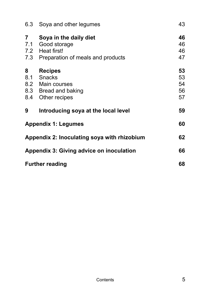| 6.3             | Soya and other legumes                                                                                 | 43                         |
|-----------------|--------------------------------------------------------------------------------------------------------|----------------------------|
| $\overline{7}$  | Soya in the daily diet<br>7.1 Good storage<br>7.2 Heat first!<br>7.3 Preparation of meals and products | 46<br>46<br>46<br>47       |
| 8<br>8.1<br>8.4 | <b>Recipes</b><br><b>Snacks</b><br>8.2 Main courses<br>8.3 Bread and baking<br>Other recipes           | 53<br>53<br>54<br>56<br>57 |
| 9               | Introducing soya at the local level                                                                    | 59                         |
|                 | <b>Appendix 1: Legumes</b>                                                                             | 60                         |
|                 | Appendix 2: Inoculating soya with rhizobium                                                            | 62                         |
|                 | <b>Appendix 3: Giving advice on inoculation</b>                                                        | 66                         |
|                 | <b>Further reading</b>                                                                                 | 68                         |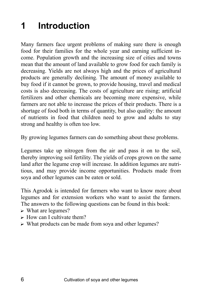## **1 Introduction**

Many farmers face urgent problems of making sure there is enough food for their families for the whole year and earning sufficient income. Population growth and the increasing size of cities and towns mean that the amount of land available to grow food for each family is decreasing. Yields are not always high and the prices of agricultural products are generally declining. The amount of money available to buy food if it cannot be grown, to provide housing, travel and medical costs is also decreasing. The costs of agriculture are rising; artificial fertilizers and other chemicals are becoming more expensive, while farmers are not able to increase the prices of their products. There is a shortage of food both in terms of quantity, but also quality: the amount of nutrients in food that children need to grow and adults to stay strong and healthy is often too low.

By growing legumes farmers can do something about these problems.

Legumes take up nitrogen from the air and pass it on to the soil, thereby improving soil fertility. The yields of crops grown on the same land after the legume crop will increase. In addition legumes are nutritious, and may provide income opportunities. Products made from soya and other legumes can be eaten or sold.

This Agrodok is intended for farmers who want to know more about legumes and for extension workers who want to assist the farmers. The answers to the following questions can be found in this book:

- $\triangleright$  What are legumes?
- $\triangleright$  How can I cultivate them?
- ? What products can be made from soya and other legumes?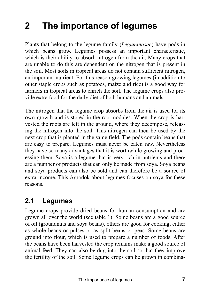## **2 The importance of legumes**

Plants that belong to the legume family (*Leguminosae*) have pods in which beans grow. Legumes possess an important characteristic, which is their ability to absorb nitrogen from the air. Many crops that are unable to do this are dependent on the nitrogen that is present in the soil. Most soils in tropical areas do not contain sufficient nitrogen, an important nutrient. For this reason growing legumes (in addition to other staple crops such as potatoes, maize and rice) is a good way for farmers in tropical areas to enrich the soil. The legume crops also provide extra food for the daily diet of both humans and animals.

The nitrogen that the legume crop absorbs from the air is used for its own growth and is stored in the root nodules. When the crop is harvested the roots are left in the ground, where they decompose, releasing the nitrogen into the soil. This nitrogen can then be used by the next crop that is planted in the same field. The pods contain beans that are easy to prepare. Legumes must never be eaten raw. Nevertheless they have so many advantages that it is worthwhile growing and processing them. Soya is a legume that is very rich in nutrients and there are a number of products that can only be made from soya. Soya beans and soya products can also be sold and can therefore be a source of extra income. This Agrodok about legumes focuses on soya for these reasons.

### **2.1 Legumes**

Legume crops provide dried beans for human consumption and are grown all over the world (see table 1). Some beans are a good source of oil (groundnuts and soya beans), others are good for cooking, either as whole beans or pulses or as split beans or peas. Some beans are ground into flour, which is used to prepare a number of foods. After the beans have been harvested the crop remains make a good source of animal feed. They can also be dug into the soil so that they improve the fertility of the soil. Some legume crops can be grown in combina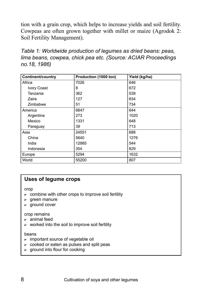tion with a grain crop, which helps to increase yields and soil fertility. Cowpeas are often grown together with millet or maize (Agrodok 2: Soil Fertility Management).

*Table 1: Worldwide production of legumes as dried beans: peas, lima beans, cowpea, chick pea etc. (Source: ACIAR Proceedings no.18, 1986)* 

| <b>Continent/country</b> | Production (1000 ton) | Yield (kg/ha) |
|--------------------------|-----------------------|---------------|
| Africa                   | 7026                  | 646           |
| <b>Ivory Coast</b>       | 8                     | 672           |
| Tanzania                 | 362                   | 539           |
| Zaire                    | 127                   | 634           |
| Zimbabwe                 | 51                    | 734           |
| America                  | 6847                  | 644           |
| Argentina                | 273                   | 1020          |
| Mexico                   | 1331                  | 648           |
| Paraguay                 | 39                    | 713           |
| Asia                     | 24551                 | 688           |
| China                    | 5640                  | 1276          |
| India                    | 12985                 | 544           |
| Indonesia                | 354                   | 829           |
| Europe                   | 5294                  | 1632          |
| World                    | 55200                 | 807           |

#### **Uses of legume crops**

crop

- $\triangleright$  combine with other crops to improve soil fertility
- $\blacktriangleright$  green manure
- $\blacktriangleright$  ground cover

crop remains

- $\blacktriangleright$  animal feed
- $\triangleright$  worked into the soil to improve soil fertility

#### beans

- $\triangleright$  important source of vegetable oil
- $\triangleright$  cooked or eaten as pulses and split peas
- $\blacktriangleright$  ground into flour for cooking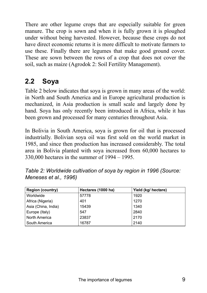There are other legume crops that are especially suitable for green manure. The crop is sown and when it is fully grown it is ploughed under without being harvested. However, because these crops do not have direct economic returns it is more difficult to motivate farmers to use these. Finally there are legumes that make good ground cover. These are sown between the rows of a crop that does not cover the soil, such as maize (Agrodok 2: Soil Fertility Management).

### **2.2 Soya**

Table 2 below indicates that soya is grown in many areas of the world: in North and South America and in Europe agricultural production is mechanized, in Asia production is small scale and largely done by hand. Soya has only recently been introduced in Africa, while it has been grown and processed for many centuries throughout Asia.

In Bolivia in South America, soya is grown for oil that is processed industrially. Bolivian soya oil was first sold on the world market in 1985, and since then production has increased considerably. The total area in Bolivia planted with soya increased from 60,000 hectares to  $330,000$  hectares in the summer of  $1994 - 1995$ .

| <b>Region (country)</b> | Hectares (1000 ha) | Yield (kg/ hectare) |
|-------------------------|--------------------|---------------------|
| Worldwide               | 57778              | 1920                |
| Africa (Nigeria)        | 401                | 1270                |
| Asia (China, India)     | 15439              | 1340                |
| Europe (Italy)          | 547                | 2840                |
| North America           | 23837              | 2170                |
| South America           | 16787              | 2140                |

*Table 2: Worldwide cultivation of soya by region in 1996 (Source: Meneses et al., 1996)*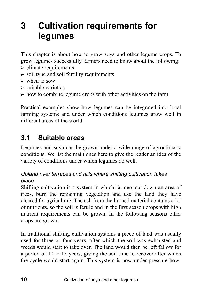## **3 Cultivation requirements for legumes**

This chapter is about how to grow soya and other legume crops. To grow legumes successfully farmers need to know about the following:

- $\triangleright$  climate requirements
- $\triangleright$  soil type and soil fertility requirements
- $\triangleright$  when to sow
- $\triangleright$  suitable varieties
- $\triangleright$  how to combine legume crops with other activities on the farm

Practical examples show how legumes can be integrated into local farming systems and under which conditions legumes grow well in different areas of the world.

### **3.1 Suitable areas**

Legumes and soya can be grown under a wide range of agroclimatic conditions. We list the main ones here to give the reader an idea of the variety of conditions under which legumes do well.

### *Upland river terraces and hills where shifting cultivation takes place*

Shifting cultivation is a system in which farmers cut down an area of trees, burn the remaining vegetation and use the land they have cleared for agriculture. The ash from the burned material contains a lot of nutrients, so the soil is fertile and in the first season crops with high nutrient requirements can be grown. In the following seasons other crops are grown.

In traditional shifting cultivation systems a piece of land was usually used for three or four years, after which the soil was exhausted and weeds would start to take over. The land would then be left fallow for a period of 10 to 15 years, giving the soil time to recover after which the cycle would start again. This system is now under pressure how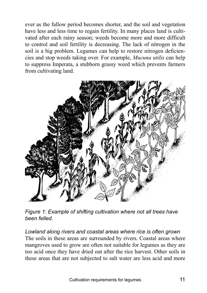ever as the fallow period becomes shorter, and the soil and vegetation have less and less time to regain fertility. In many places land is cultivated after each rainy season; weeds become more and more difficult to control and soil fertility is decreasing. The lack of nitrogen in the soil is a big problem. Legumes can help to restore nitrogen deficiencies and stop weeds taking over. For example, *Mucuna utilis* can help to suppress Imperata, a stubborn grassy weed which prevents farmers from cultivating land.



*Figure 1: Example of shifting cultivation where not all trees have been felled.* 

*Lowland along rivers and coastal areas where rice is often grown*  The soils in these areas are surrounded by rivers. Coastal areas where mangroves used to grow are often not suitable for legumes as they are too acid once they have dried out after the rice harvest. Other soils in these areas that are not subjected to salt water are less acid and more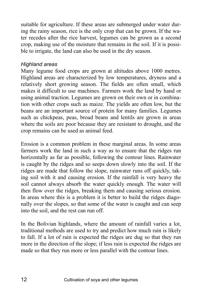suitable for agriculture. If these areas are submerged under water during the rainy season, rice is the only crop that can be grown. If the water recedes after the rice harvest, legumes can be grown as a second crop, making use of the moisture that remains in the soil. If it is possible to irrigate, the land can also be used in the dry season.

#### *Highland areas*

Many legume food crops are grown at altitudes above 1000 metres. Highland areas are characterized by low temperatures, dryness and a relatively short growing season. The fields are often small, which makes it difficult to use machines. Farmers work the land by hand or using animal traction. Legumes are grown on their own or in combination with other crops such as maize. The yields are often low, but the beans are an important source of protein for many families. Legumes such as chickpeas, peas, broad beans and lentils are grown in areas where the soils are poor because they are resistant to drought, and the crop remains can be used as animal feed.

Erosion is a common problem in these marginal areas. In some areas farmers work the land in such a way as to ensure that the ridges run horizontally as far as possible, following the contour lines. Rainwater is caught by the ridges and so seeps down slowly into the soil. If the ridges are made that follow the slope, rainwater runs off quickly, taking soil with it and causing erosion. If the rainfall is very heavy the soil cannot always absorb the water quickly enough. The water will then flow over the ridges, breaking them and causing serious erosion. In areas where this is a problem it is better to build the ridges diagonally over the slopes, so that some of the water is caught and can seep into the soil, and the rest can run off.

In the Bolivian highlands, where the amount of rainfall varies a lot, traditional methods are used to try and predict how much rain is likely to fall. If a lot of rain is expected the ridges are dug so that they run more in the direction of the slope; if less rain is expected the ridges are made so that they run more or less parallel with the contour lines.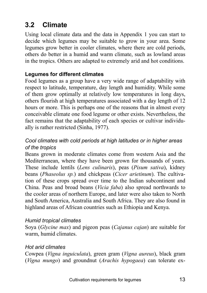### **3.2 Climate**

Using local climate data and the data in Appendix 1 you can start to decide which legumes may be suitable to grow in your area. Some legumes grow better in cooler climates, where there are cold periods, others do better in a humid and warm climate, such as lowland areas in the tropics. Others are adapted to extremely arid and hot conditions.

### **Legumes for different climates**

Food legumes as a group have a very wide range of adaptability with respect to latitude, temperature, day length and humidity. While some of them grow optimally at relatively low temperatures in long days, others flourish at high temperatures associated with a day length of 12 hours or more. This is perhaps one of the reasons that in almost every conceivable climate one food legume or other exists. Nevertheless, the fact remains that the adaptability of each species or cultivar individually is rather restricted (Sinha, 1977).

### *Cool climates with cold periods at high latitudes or in higher areas of the tropics*

Beans grown in moderate climates come from western Asia and the Mediterranean, where they have been grown for thousands of years. These include lentils (*Lens culinaris*), peas (*Pisum sativa*), kidney beans (*Phaseolus sp.*) and chickpeas (*Cicer arietinum*). The cultivation of these crops spread over time to the Indian subcontinent and China. Peas and broad beans (*Vicia faba*) also spread northwards to the cooler areas of northern Europe, and later were also taken to North and South America, Australia and South Africa. They are also found in highland areas of African countries such as Ethiopia and Kenya.

#### *Humid tropical climates*

Soya (*Glycine max*) and pigeon peas (*Cajanus cajan*) are suitable for warm, humid climates.

#### *Hot arid climates*

Cowpea (*Vigna inguiculata*), green gram (*Vigna aureus*), black gram (*Vigna mungo*) and groundnut (*Arachis hypogaea*) can tolerate ex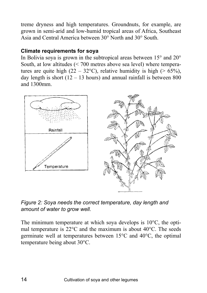treme dryness and high temperatures. Groundnuts, for example, are grown in semi-arid and low-humid tropical areas of Africa, Southeast Asia and Central America between 30° North and 30° South.

### **Climate requirements for soya**

In Bolivia soya is grown in the subtropical areas between 15° and 20° South, at low altitudes (< 700 metres above sea level) where temperatures are quite high (22 – 32°C), relative humidity is high (> 65%), day length is short  $(12 – 13$  hours) and annual rainfall is between 800 and 1300mm.



*Figure 2: Soya needs the correct temperature, day length and amount of water to grow well.* 

The minimum temperature at which soya develops is 10°C, the optimal temperature is 22°C and the maximum is about 40°C. The seeds germinate well at temperatures between 15°C and 40°C, the optimal temperature being about 30°C.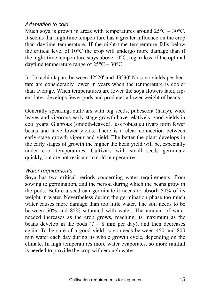### *Adaptation to cold*

Much soya is grown in areas with temperatures around  $25^{\circ}$ C –  $30^{\circ}$ C. It seems that nighttime temperature has a greater influence on the crop than daytime temperature. If the night-time temperature falls below the critical level of 10°C the crop will undergo more damage than if the night-time temperature stays above 10°C, regardless of the optimal daytime temperature range of  $25^{\circ}$ C –  $30^{\circ}$ C.

In Tokachi (Japan, between 42°20' and 43°30' N) soya yields per hectare are considerably lower in years when the temperature is cooler than average. When temperatures are lower the soya flowers later, ripens later, develops fewer pods and produces a lower weight of beans.

Generally speaking, cultivars with big seeds, pubescent (hairy), wide leaves and vigorous early-stage growth have relatively good yields in cool years. Glabrous (smooth-leaved), less robust cultivars form fewer beans and have lower yields. There is a clear connection between early-stage growth vigour and yield. The better the plant develops in the early stages of growth the higher the bean yield will be, especially under cool temperatures. Cultivars with small seeds germinate quickly, but are not resistant to cold temperatures.

#### *Water requirements*

Soya has two critical periods concerning water requirements: from sowing to germination, and the period during which the beans grow in the pods. Before a seed can germinate it needs to absorb 50% of its weight in water. Nevertheless during the germination phase too much water causes more damage than too little water. The soil needs to be between 50% and 85% saturated with water. The amount of water needed increases as the crop grows, reaching its maximum as the beans develop in the pods  $(7 - 8 \text{ mm per day})$ , and then decreases again. To be sure of a good yield, soya needs between 450 and 800 mm water each day during its whole growth cycle, depending on the climate. In high temperatures more water evaporates, so more rainfall is needed to provide the crop with enough water.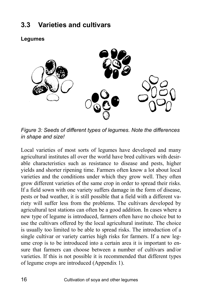### **3.3 Varieties and cultivars**

**Legumes** 

*Figure 3: Seeds of different types of legumes. Note the differences in shape and size!* 

Local varieties of most sorts of legumes have developed and many agricultural institutes all over the world have bred cultivars with desirable characteristics such as resistance to disease and pests, higher yields and shorter ripening time. Farmers often know a lot about local varieties and the conditions under which they grow well. They often grow different varieties of the same crop in order to spread their risks. If a field sown with one variety suffers damage in the form of disease, pests or bad weather, it is still possible that a field with a different variety will suffer less from the problems. The cultivars developed by agricultural test stations can often be a good addition. In cases where a new type of legume is introduced, farmers often have no choice but to use the cultivars offered by the local agricultural institute. The choice is usually too limited to be able to spread risks. The introduction of a single cultivar or variety carries high risks for farmers. If a new legume crop is to be introduced into a certain area it is important to ensure that farmers can choose between a number of cultivars and/or varieties. If this is not possible it is recommended that different types of legume crops are introduced (Appendix 1).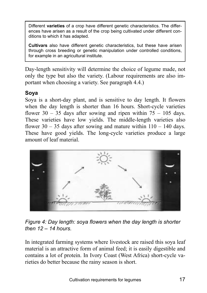Different **varieties** of a crop have different genetic characteristics. The differences have arisen as a result of the crop being cultivated under different conditions to which it has adapted.

**Cultivars** also have different genetic characteristics, but these have arisen through cross breeding or genetic manipulation under controlled conditions, for example in an agricultural institute.

Day-length sensitivity will determine the choice of legume made, not only the type but also the variety. (Labour requirements are also important when choosing a variety. See paragraph 4.4.)

### **Soya**

Soya is a short-day plant, and is sensitive to day length. It flowers when the day length is shorter than 16 hours. Short-cycle varieties flower 30 – 35 days after sowing and ripen within  $75 - 105$  days. These varieties have low yields. The middle-length varieties also flower  $30 - 35$  days after sowing and mature within  $110 - 140$  days. These have good yields. The long-cycle varieties produce a large amount of leaf material.



*Figure 4: Day length: soya flowers when the day length is shorter*   $then 12 - 14 hours$ 

In integrated farming systems where livestock are raised this soya leaf material is an attractive form of animal feed; it is easily digestible and contains a lot of protein. In Ivory Coast (West Africa) short-cycle varieties do better because the rainy season is short.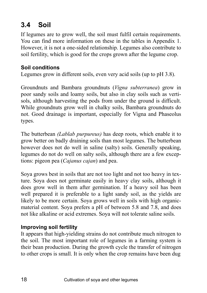### **3.4 Soil**

If legumes are to grow well, the soil must fulfil certain requirements. You can find more information on these in the tables in Appendix 1. However, it is not a one-sided relationship. Legumes also contribute to soil fertility, which is good for the crops grown after the legume crop.

### **Soil conditions**

Legumes grow in different soils, even very acid soils (up to pH 3.8).

Groundnuts and Bambara groundnuts (*Vigna subterranea*) grow in poor sandy soils and loamy soils, but also in clay soils such as vertisols, although harvesting the pods from under the ground is difficult. While groundnuts grow well in chalky soils, Bambara groundnuts do not. Good drainage is important, especially for Vigna and Phaseolus types.

The butterbean *(Lablab purpureus)* has deep roots, which enable it to grow better on badly draining soils than most legumes. The butterbean however does not do well in saline (salty) soils. Generally speaking, legumes do not do well on salty soils, although there are a few exceptions: pigeon pea (*Cajanus cajan*) and pea.

Soya grows best in soils that are not too light and not too heavy in texture. Soya does not germinate easily in heavy clay soils, although it does grow well in them after germination. If a heavy soil has been well prepared it is preferable to a light sandy soil, as the yields are likely to be more certain. Soya grows well in soils with high organicmaterial content. Soya prefers a pH of between 5.8 and 7.8, and does not like alkaline or acid extremes. Soya will not tolerate saline soils.

### **Improving soil fertility**

It appears that high-yielding strains do not contribute much nitrogen to the soil. The most important role of legumes in a farming system is their bean production. During the growth cycle the transfer of nitrogen to other crops is small. It is only when the crop remains have been dug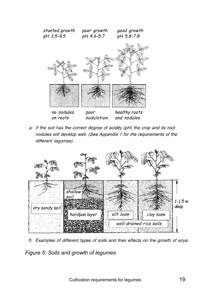

a: If the soil has the correct degree of acidity (pH) the crop and its root nodules will develop well. (See Appendix 1 for the requirements of the different legumes).



b: Examples of different types of soils and their effects on the growth of soya.

*Figure 5: Soils and growth of legumes*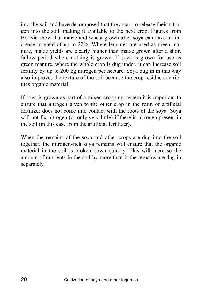into the soil and have decomposed that they start to release their nitrogen into the soil, making it available to the next crop. Figures from Bolivia show that maize and wheat grown after soya can have an increase in yield of up to 22%. Where legumes are used as green manure, maize yields are clearly higher than maize grown after a short fallow period where nothing is grown. If soya is grown for use as green manure, where the whole crop is dug under, it can increase soil fertility by up to 200 kg nitrogen per hectare. Soya dug in in this way also improves the texture of the soil because the crop residue contributes organic material.

If soya is grown as part of a mixed cropping system it is important to ensure that nitrogen given to the other crop in the form of artificial fertilizer does not come into contact with the roots of the soya. Soya will not fix nitrogen (or only very little) if there is nitrogen present in the soil (in this case from the artificial fertilizer).

When the remains of the soya and other crops are dug into the soil together, the nitrogen-rich soya remains will ensure that the organic material in the soil is broken down quickly. This will increase the amount of nutrients in the soil by more than if the remains are dug in separately.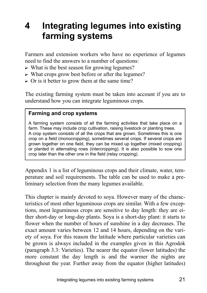## **4 Integrating legumes into existing farming systems**

Farmers and extension workers who have no experience of legumes need to find the answers to a number of questions:

- $\triangleright$  What is the best season for growing legumes?
- $\triangleright$  What crops grow best before or after the legumes?
- $\triangleright$  Or is it better to grow them at the same time?

The existing farming system must be taken into account if you are to understand how you can integrate leguminous crops.

#### **Farming and crop systems**

A farming system consists of all the farming activities that take place on a farm. These may include crop cultivation, raising livestock or planting trees. A crop system consists of all the crops that are grown. Sometimes this is one crop on a field (monocropping), sometimes several crops. If several crops are grown together on one field, they can be mixed up together (mixed cropping) or planted in alternating rows (intercropping). It is also possible to sow one crop later than the other one in the field (relay cropping).

Appendix 1 is a list of leguminous crops and their climate, water, temperature and soil requirements. The table can be used to make a preliminary selection from the many legumes available.

This chapter is mainly devoted to soya. However many of the characteristics of most other leguminous crops are similar. With a few exceptions, most leguminous crops are sensitive to day length: they are either short-day or long-day plants. Soya is a short-day plant: it starts to flower when the number of hours of sunshine in a day decreases. The exact amount varies between 12 and 14 hours, depending on the variety of soya. For this reason the latitude where particular varieties can be grown is always included in the examples given in this Agrodok (paragraph 3.3: Varieties). The nearer the equator (lower latitudes) the more constant the day length is and the warmer the nights are throughout the year. Further away from the equator (higher latitudes)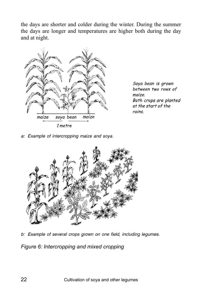the days are shorter and colder during the winter. During the summer the days are longer and temperatures are higher both during the day and at night.



Soya bean is grown between two rows of *maize* Both crops are planted at the start of the  $rains$ 

a: Example of intercropping maize and soya.



b: Example of several crops grown on one field, including legumes.

*Figure 6: Intercropping and mixed cropping*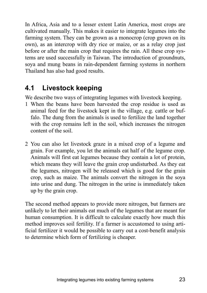In Africa, Asia and to a lesser extent Latin America, most crops are cultivated manually. This makes it easier to integrate legumes into the farming system. They can be grown as a monocrop (crop grown on its own), as an intercrop with dry rice or maize, or as a relay crop just before or after the main crop that requires the rain. All these crop systems are used successfully in Taiwan. The introduction of groundnuts, soya and mung beans in rain-dependent farming systems in northern Thailand has also had good results.

### **4.1 Livestock keeping**

We describe two ways of integrating legumes with livestock keeping.

- 1 When the beans have been harvested the crop residue is used as animal feed for the livestock kept in the village, e.g. cattle or buffalo. The dung from the animals is used to fertilize the land together with the crop remains left in the soil, which increases the nitrogen content of the soil.
- 2 You can also let livestock graze in a mixed crop of a legume and grain. For example, you let the animals eat half of the legume crop. Animals will first eat legumes because they contain a lot of protein, which means they will leave the grain crop undisturbed. As they eat the legumes, nitrogen will be released which is good for the grain crop, such as maize. The animals convert the nitrogen in the soya into urine and dung. The nitrogen in the urine is immediately taken up by the grain crop.

The second method appears to provide more nitrogen, but farmers are unlikely to let their animals eat much of the legumes that are meant for human consumption. It is difficult to calculate exactly how much this method improves soil fertility. If a farmer is accustomed to using artificial fertilizer it would be possible to carry out a cost-benefit analysis to determine which form of fertilizing is cheaper.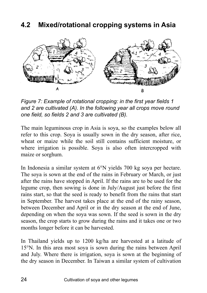### **4.2 Mixed/rotational cropping systems in Asia**



*Figure 7: Example of rotational cropping: in the first year fields 1 and 2 are cultivated (A). In the following year all crops move round one field, so fields 2 and 3 are cultivated (B).* 

The main leguminous crop in Asia is soya, so the examples below all refer to this crop. Soya is usually sown in the dry season, after rice, wheat or maize while the soil still contains sufficient moisture, or where irrigation is possible. Soya is also often intercropped with maize or sorghum.

In Indonesia a similar system at 6°N yields 700 kg soya per hectare. The soya is sown at the end of the rains in February or March, or just after the rains have stopped in April. If the rains are to be used for the legume crop, then sowing is done in July/August just before the first rains start, so that the seed is ready to benefit from the rains that start in September. The harvest takes place at the end of the rainy season, between December and April or in the dry season at the end of June, depending on when the soya was sown. If the seed is sown in the dry season, the crop starts to grow during the rains and it takes one or two months longer before it can be harvested.

In Thailand yields up to 1200 kg/ha are harvested at a latitude of 15°N. In this area most soya is sown during the rains between April and July. Where there is irrigation, soya is sown at the beginning of the dry season in December. In Taiwan a similar system of cultivation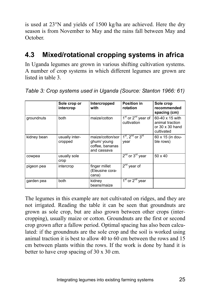is used at 23°N and yields of 1500 kg/ha are achieved. Here the dry season is from November to May and the rains fall between May and October.

### **4.3 Mixed/rotational cropping systems in africa**

In Uganda legumes are grown in various shifting cultivation systems. A number of crop systems in which different legumes are grown are listed in table 3.

|             | Sole crop or<br>intercrop | Intercropped<br>with                                              | <b>Position in</b><br>rotation                            | Sole crop<br>recommended<br>spacing (cm)                                   |
|-------------|---------------------------|-------------------------------------------------------------------|-----------------------------------------------------------|----------------------------------------------------------------------------|
| groundnuts  | both                      | maize/cotton                                                      | 1 <sup>st</sup> or 2 <sup>nd</sup> year of<br>cultivation | 60-40 x 15 with<br>animal traction<br>or $30 \times 30$ hand<br>cultivated |
| kidney bean | usually inter-<br>cropped | maize/cotton/sor<br>ghum/ young<br>coffee, bananas<br>and cassava | $1st$ , $2nd$ or $3rd$<br>year                            | 60 x 15 (in dou-<br>ble rows)                                              |
| cowpea      | usually sole<br>crop      |                                                                   | $2^{nd}$ or $3^{rd}$ year                                 | $50 \times 40$                                                             |
| pigeon pea  | intercrop                 | finger millet<br>(Eleusine cora-<br>cana)                         | $2nd$ year of                                             |                                                                            |
| garden pea  | both                      | kidney<br>beans/maize                                             | $1st$ or $2nd$ year                                       |                                                                            |

*Table 3: Crop systems used in Uganda (Source: Stanton 1966: 61)* 

The legumes in this example are not cultivated on ridges, and they are not irrigated. Reading the table it can be seen that groundnuts are grown as sole crop, but are also grown between other crops (intercropping), usually maize or cotton. Groundnuts are the first or second crop grown after a fallow period. Optimal spacing has also been calculated: if the groundnuts are the sole crop and the soil is worked using animal traction it is best to allow 40 to 60 cm between the rows and 15 cm between plants within the rows. If the work is done by hand it is better to have crop spacing of 30 x 30 cm.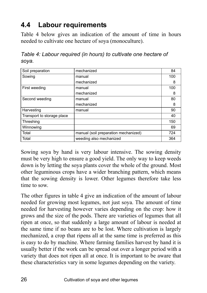### **4.4 Labour requirements**

Table 4 below gives an indication of the amount of time in hours needed to cultivate one hectare of soya (monoculture).

*Table 4: Labour required (in hours) to cultivate one hectare of soya.* 

| Soil preparation           | mechanized                           | 84  |
|----------------------------|--------------------------------------|-----|
| Sowing                     | manual                               | 100 |
|                            | mechanized                           | 8   |
| First weeding              | manual                               | 100 |
|                            | mechanized                           | 8   |
| Second weeding             | manual                               | 80  |
|                            | mechanized                           | 8   |
| Harvesting                 | manual                               | 90  |
| Transport to storage place |                                      | 40  |
| Threshing                  |                                      | 150 |
| Winnowing                  |                                      | 69  |
| Total                      | manual (soil preparation mechanized) | 724 |
| Total                      | weeding also mechanized              | 364 |

Sowing soya by hand is very labour intensive. The sowing density must be very high to ensure a good yield. The only way to keep weeds down is by letting the soya plants cover the whole of the ground. Most other leguminous crops have a wider branching pattern, which means that the sowing density is lower. Other legumes therefore take less time to sow.

The other figures in table 4 give an indication of the amount of labour needed for growing most legumes, not just soya. The amount of time needed for harvesting however varies depending on the crop: how it grows and the size of the pods. There are varieties of legumes that all ripen at once, so that suddenly a large amount of labour is needed at the same time if no beans are to be lost. Where cultivation is largely mechanized, a crop that ripens all at the same time is preferred as this is easy to do by machine. Where farming families harvest by hand it is usually better if the work can be spread out over a longer period with a variety that does not ripen all at once. It is important to be aware that these characteristics vary in some legumes depending on the variety.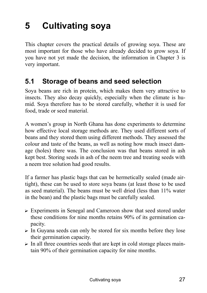## **5 Cultivating soya**

This chapter covers the practical details of growing soya. These are most important for those who have already decided to grow soya. If you have not yet made the decision, the information in Chapter 3 is very important.

### **5.1 Storage of beans and seed selection**

Soya beans are rich in protein, which makes them very attractive to insects. They also decay quickly, especially when the climate is humid. Soya therefore has to be stored carefully, whether it is used for food, trade or seed material.

A womenís group in North Ghana has done experiments to determine how effective local storage methods are. They used different sorts of beans and they stored them using different methods. They assessed the colour and taste of the beans, as well as noting how much insect damage (holes) there was. The conclusion was that beans stored in ash kept best. Storing seeds in ash of the neem tree and treating seeds with a neem tree solution had good results.

If a farmer has plastic bags that can be hermetically sealed (made airtight), these can be used to store soya beans (at least those to be used as seed material). The beans must be well dried (less than 11% water in the bean) and the plastic bags must be carefully sealed.

- ? Experiments in Senegal and Cameroon show that seed stored under these conditions for nine months retains 90% of its germination capacity.
- $\triangleright$  In Guyana seeds can only be stored for six months before they lose their germination capacity.
- $\triangleright$  In all three countries seeds that are kept in cold storage places maintain 90% of their germination capacity for nine months.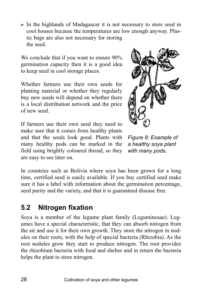$\triangleright$  In the highlands of Madagascar it is not necessary to store seed in cool houses because the temperatures are low enough anyway. Plastic bags are also not necessary for storing the seed.

We conclude that if you want to ensure  $90\%$ germination capacity then it is a good idea to keep seed in cool storage places.

Whether farmers use their own seeds for planting material or whether they regularly buy new seeds will depend on whether there is a local distribution network and the price of new seed.

If farmers use their own seed they need to make sure that it comes from healthy plants and that the seeds look good. Plants with many healthy pods can be marked in the field using brightly coloured thread, so they are easy to see later on.



*Figure 8: Example of a healthy soya plant with many pods.* 

In countries such as Bolivia where soya has been grown for a long time, certified seed is easily available. If you buy certified seed make sure it has a label with information about the germination percentage, seed purity and the variety, and that it is guaranteed disease free.

### **5.2 Nitrogen fixation**

Soya is a member of the legume plant family (Leguminosae). Legumes have a special characteristic, that they can absorb nitrogen from the air and use it for their own growth. They store the nitrogen in nodules on their roots, with the help of special bacteria (Rhizobia). As the root nodules grow they start to produce nitrogen. The root provides the rhizobium bacteria with food and shelter and in return the bacteria helps the plant to store nitrogen.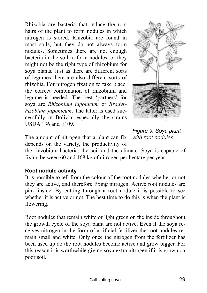Rhizobia are bacteria that induce the root hairs of the plant to form nodules in which nitrogen is stored. Rhizobia are found in most soils, but they do not always form nodules. Sometimes there are not enough bacteria in the soil to form nodules, or they might not be the right type of rhizobium for soya plants. Just as there are different sorts of legumes there are also different sorts of rhizobia. For nitrogen fixation to take place, the correct combination of rhizobium and legume is needed. The best 'partners' for soya are *Rhizobium japonicum* or *Bradyrhizobium japonicum*. The latter is used successfully in Bolivia, especially the strains USDA 136 and E109.

The amount of nitrogen that a plant can fix depends on the variety, the productivity of

*Figure 9: Soya plant with root nodules.* 

the rhizobium bacteria, the soil and the climate. Soya is capable of fixing between 60 and 168 kg of nitrogen per hectare per year.

#### **Root nodule activity**

It is possible to tell from the colour of the root nodules whether or not they are active, and therefore fixing nitrogen. Active root nodules are pink inside. By cutting through a root nodule it is possible to see whether it is active or not. The best time to do this is when the plant is flowering.

Root nodules that remain white or light green on the inside throughout the growth cycle of the soya plant are not active. Even if the soya receives nitrogen in the form of artificial fertilizer the root nodules remain small and white. Only once the nitrogen from the fertilizer has been used up do the root nodules become active and grow bigger. For this reason it is worthwhile giving soya extra nitrogen if it is grown on poor soil.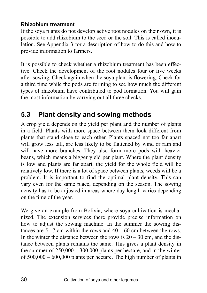### **Rhizobium treatment**

If the soya plants do not develop active root nodules on their own, it is possible to add rhizobium to the seed or the soil. This is called inoculation. See Appendix 3 for a description of how to do this and how to provide information to farmers.

It is possible to check whether a rhizobium treatment has been effective. Check the development of the root nodules four or five weeks after sowing. Check again when the soya plant is flowering. Check for a third time while the pods are forming to see how much the different types of rhizobium have contributed to pod formation. You will gain the most information by carrying out all three checks.

### **5.3 Plant density and sowing methods**

A crop yield depends on the yield per plant and the number of plants in a field. Plants with more space between them look different from plants that stand close to each other. Plants spaced not too far apart will grow less tall, are less likely to be flattened by wind or rain and will have more branches. They also form more pods with heavier beans, which means a bigger yield per plant. Where the plant density is low and plants are far apart, the yield for the whole field will be relatively low. If there is a lot of space between plants, weeds will be a problem. It is important to find the optimal plant density. This can vary even for the same place, depending on the season. The sowing density has to be adjusted in areas where day length varies depending on the time of the year.

We give an example from Bolivia, where soya cultivation is mechanized. The extension services there provide precise information on how to adjust the sowing machine. In the summer the sowing distances are  $5 - 7$  cm within the rows and  $40 - 60$  cm between the rows. In the winter the distance between the rows is  $20 - 30$  cm, and the distance between plants remains the same. This gives a plant density in the summer of  $250,000 - 300,000$  plants per hectare, and in the winter of  $500,000 - 600,000$  plants per hectare. The high number of plants in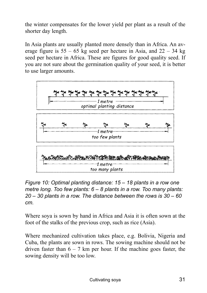the winter compensates for the lower yield per plant as a result of the shorter day length.

In Asia plants are usually planted more densely than in Africa. An average figure is  $55 - 65$  kg seed per hectare in Asia, and  $22 - 34$  kg seed per hectare in Africa. These are figures for good quality seed. If you are not sure about the germination quality of your seed, it is better to use larger amounts.



*Figure 10: Optimal planting distance: 15 – 18 plants in a row one metre long. Too few plants: 6 – 8 plants in a row. Too many plants:*  $20 - 30$  plants in a row. The distance between the rows is  $30 - 60$ *cm.* 

Where soya is sown by hand in Africa and Asia it is often sown at the foot of the stalks of the previous crop, such as rice (Asia).

Where mechanized cultivation takes place, e.g. Bolivia, Nigeria and Cuba, the plants are sown in rows. The sowing machine should not be driven faster than  $6 - 7$  km per hour. If the machine goes faster, the sowing density will be too low.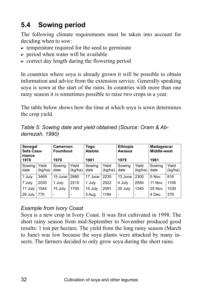## **5.4 Sowing period**

The following climate requirements must be taken into account for deciding when to sow:

- $\triangleright$  temperature required for the seed to germinate
- $\triangleright$  period when water will be available
- $\triangleright$  correct day length during the flowering period

In countries where soya is already grown it will be possible to obtain information and advice from the extension service. Generally speaking soya is sown at the start of the rains. In countries with more than one rainy season it is sometimes possible to raise two crops in a year.

The table below shows how the time at which soya is sown determines the crop yield.

| Table 5: Sowing date and yield obtained (Source: Oram & Ab- |  |  |  |
|-------------------------------------------------------------|--|--|--|
| derrezah, 1990)                                             |  |  |  |

| Senegal<br>Sefa Casa-<br>mance<br>1978 |                  | Cameroon<br><b>Foumbout</b><br>1979 |                  | <b>Ethiopia</b><br>Togo<br><b>Atalote</b><br>Awassa<br>1981<br>1979 |                  | Madagascar<br>Middle-west<br>1981 |                  |                |                  |
|----------------------------------------|------------------|-------------------------------------|------------------|---------------------------------------------------------------------|------------------|-----------------------------------|------------------|----------------|------------------|
| Sowing<br>date                         | Yield<br>(kg/ha) | Sowing<br>date                      | Yield<br>(kg/ha) | Sowing<br>date                                                      | Yield<br>(kg/ha) | Sowing<br>date                    | Yield<br>(kg/ha) | Sowing<br>date | Yield<br>(kg/ha) |
| 1 July                                 | 3469             | 15 June                             | 2680             | 17 June                                                             | 2235             | 13 June                           | 2300             | 5 Nov.         | 816              |
| 7 July                                 | 2030             | 1 July                              | 2215             | 1 July                                                              | 2522             | 4 July                            | 2550             | <b>11 Nov.</b> | 1108             |
| 17 July                                | 1544             | 15 July                             | 1700             | 15 July                                                             | 2091             | 20 July                           | 1340             | 25 Nov.        | 1030             |
| 26 July                                | 770              |                                     |                  | 3 Aug.                                                              | 1194             |                                   |                  | 4 Dec.         | 379              |

#### *Example from Ivory Coast*

Soya is a new crop in Ivory Coast. It was first cultivated in 1998. The short rainy season from mid-September to November produced good results: 1 ton per hectare. The yield from the long rainy season (March to June) was low because the soya plants were attacked by many insects. The farmers decided to only grow soya during the short rains.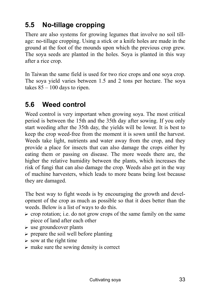### **5.5 No-tillage cropping**

There are also systems for growing legumes that involve no soil tillage: no-tillage cropping. Using a stick or a knife holes are made in the ground at the foot of the mounds upon which the previous crop grew. The soya seeds are planted in the holes. Soya is planted in this way after a rice crop.

In Taiwan the same field is used for two rice crops and one soya crop. The soya yield varies between 1.5 and 2 tons per hectare. The soya takes  $85 - 100$  days to ripen.

### **5.6 Weed control**

Weed control is very important when growing soya. The most critical period is between the 15th and the 35th day after sowing. If you only start weeding after the 35th day, the yields will be lower. It is best to keep the crop weed-free from the moment it is sown until the harvest. Weeds take light, nutrients and water away from the crop, and they provide a place for insects that can also damage the crops either by eating them or passing on disease. The more weeds there are, the higher the relative humidity between the plants, which increases the risk of fungi that can also damage the crop. Weeds also get in the way of machine harvesters, which leads to more beans being lost because they are damaged.

The best way to fight weeds is by encouraging the growth and development of the crop as much as possible so that it does better than the weeds. Below is a list of ways to do this.

- $\triangleright$  crop rotation; i.e. do not grow crops of the same family on the same piece of land after each other
- $\triangleright$  use groundcover plants
- $\triangleright$  prepare the soil well before planting
- $\triangleright$  sow at the right time
- $\triangleright$  make sure the sowing density is correct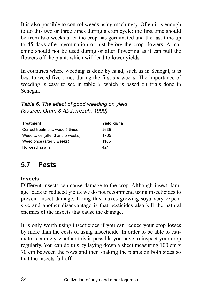It is also possible to control weeds using machinery. Often it is enough to do this two or three times during a crop cycle: the first time should be from two weeks after the crop has germinated and the last time up to 45 days after germination or just before the crop flowers. A machine should not be used during or after flowering as it can pull the flowers off the plant, which will lead to lower yields.

In countries where weeding is done by hand, such as in Senegal, it is best to weed five times during the first six weeks. The importance of weeding is easy to see in table 6, which is based on trials done in Senegal.

| Table 6: The effect of good weeding on yield |
|----------------------------------------------|
| (Source: Oram & Abderrezah, 1990)            |

| Treatment                        | Yield kg/ha |
|----------------------------------|-------------|
| Correct treatment: weed 5 times  | 2635        |
| Weed twice (after 3 and 5 weeks) | 1765        |
| Weed once (after 3 weeks)        | 1185        |
| No weeding at all                | 421         |

### **5.7 Pests**

### **Insects**

Different insects can cause damage to the crop. Although insect damage leads to reduced yields we do not recommend using insecticides to prevent insect damage. Doing this makes growing soya very expensive and another disadvantage is that pesticides also kill the natural enemies of the insects that cause the damage.

It is only worth using insecticides if you can reduce your crop losses by more than the costs of using insecticide. In order to be able to estimate accurately whether this is possible you have to inspect your crop regularly. You can do this by laying down a sheet measuring 100 cm x 70 cm between the rows and then shaking the plants on both sides so that the insects fall off.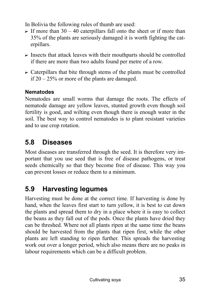In Bolivia the following rules of thumb are used:

- $\triangleright$  If more than 30 40 caterpillars fall onto the sheet or if more than 35% of the plants are seriously damaged it is worth fighting the caterpillars.
- $\triangleright$  Insects that attack leaves with their mouthparts should be controlled if there are more than two adults found per metre of a row.
- $\triangleright$  Caterpillars that bite through stems of the plants must be controlled if  $20 - 25\%$  or more of the plants are damaged.

### **Nematodes**

Nematodes are small worms that damage the roots. The effects of nematode damage are yellow leaves, stunted growth even though soil fertility is good, and wilting even though there is enough water in the soil. The best way to control nematodes is to plant resistant varieties and to use crop rotation.

### **5.8 Diseases**

Most diseases are transferred through the seed. It is therefore very important that you use seed that is free of disease pathogens, or treat seeds chemically so that they become free of disease. This way you can prevent losses or reduce them to a minimum.

### **5.9 Harvesting legumes**

Harvesting must be done at the correct time. If harvesting is done by hand, when the leaves first start to turn yellow, it is best to cut down the plants and spread them to dry in a place where it is easy to collect the beans as they fall out of the pods. Once the plants have dried they can be threshed. Where not all plants ripen at the same time the beans should be harvested from the plants that ripen first, while the other plants are left standing to ripen further. This spreads the harvesting work out over a longer period, which also means there are no peaks in labour requirements which can be a difficult problem.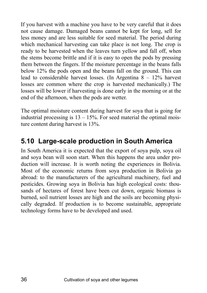If you harvest with a machine you have to be very careful that it does not cause damage. Damaged beans cannot be kept for long, sell for less money and are less suitable for seed material. The period during which mechanical harvesting can take place is not long. The crop is ready to be harvested when the leaves turn yellow and fall off, when the stems become brittle and if it is easy to open the pods by pressing them between the fingers. If the moisture percentage in the beans falls below 12% the pods open and the beans fall on the ground. This can lead to considerable harvest losses. (In Argentina  $8 - 12\%$  harvest losses are common where the crop is harvested mechanically.) The losses will be lower if harvesting is done early in the morning or at the end of the afternoon, when the pods are wetter.

The optimal moisture content during harvest for soya that is going for industrial processing is  $13 - 15%$ . For seed material the optimal moisture content during harvest is 13%.

### **5.10 Large-scale production in South America**

In South America it is expected that the export of soya pulp, soya oil and soya bean will soon start. When this happens the area under production will increase. It is worth noting the experiences in Bolivia. Most of the economic returns from soya production in Bolivia go abroad: to the manufacturers of the agricultural machinery, fuel and pesticides. Growing soya in Bolivia has high ecological costs: thousands of hectares of forest have been cut down, organic biomass is burned, soil nutrient losses are high and the soils are becoming physically degraded. If production is to become sustainable, appropriate technology forms have to be developed and used.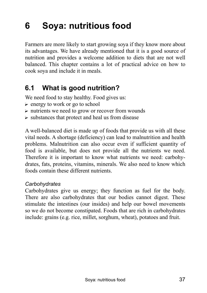## **6 Soya: nutritious food**

Farmers are more likely to start growing soya if they know more about its advantages. We have already mentioned that it is a good source of nutrition and provides a welcome addition to diets that are not well balanced. This chapter contains a lot of practical advice on how to cook soya and include it in meals.

### **6.1 What is good nutrition?**

We need food to stay healthy. Food gives us:

- $\triangleright$  energy to work or go to school
- $\triangleright$  nutrients we need to grow or recover from wounds
- $\triangleright$  substances that protect and heal us from disease

A well-balanced diet is made up of foods that provide us with all these vital needs. A shortage (deficiency) can lead to malnutrition and health problems. Malnutrition can also occur even if sufficient quantity of food is available, but does not provide all the nutrients we need. Therefore it is important to know what nutrients we need: carbohydrates, fats, proteins, vitamins, minerals. We also need to know which foods contain these different nutrients.

#### *Carbohydrates*

Carbohydrates give us energy; they function as fuel for the body. There are also carbohydrates that our bodies cannot digest. These stimulate the intestines (our insides) and help our bowel movements so we do not become constipated. Foods that are rich in carbohydrates include: grains (e.g. rice, millet, sorghum, wheat), potatoes and fruit.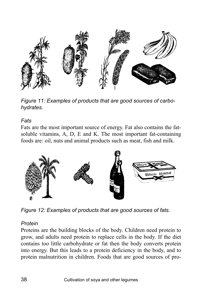

*Figure 11: Examples of products that are good sources of carbohydrates.* 

#### *Fats*

Fats are the most important source of energy. Fat also contains the fatsoluble vitamins, A, D, E and K. The most important fat-containing foods are: oil, nuts and animal products such as meat, fish and milk.



*Figure 12: Examples of products that are good sources of fats.* 

#### *Protein*

Proteins are the building blocks of the body. Children need protein to grow, and adults need protein to replace cells in the body. If the diet contains too little carbohydrate or fat then the body converts protein into energy. But this leads to a protein deficiency in the body, and to protein malnutrition in children. Foods that are good sources of pro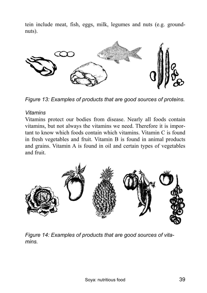tein include meat, fish, eggs, milk, legumes and nuts (e.g. groundnuts).



*Figure 13: Examples of products that are good sources of proteins.* 

#### *Vitamins*

Vitamins protect our bodies from disease. Nearly all foods contain vitamins, but not always the vitamins we need. Therefore it is important to know which foods contain which vitamins. Vitamin C is found in fresh vegetables and fruit. Vitamin B is found in animal products and grains. Vitamin A is found in oil and certain types of vegetables and fruit.



*Figure 14: Examples of products that are good sources of vitamins.*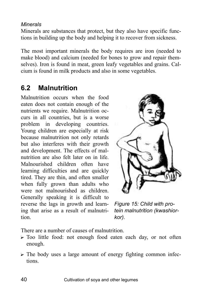#### *Minerals*

Minerals are substances that protect, but they also have specific functions in building up the body and helping it to recover from sickness.

The most important minerals the body requires are iron (needed to make blood) and calcium (needed for bones to grow and repair themselves). Iron is found in meat, green leafy vegetables and grains. Calcium is found in milk products and also in some vegetables.

### **6.2 Malnutrition**

Malnutrition occurs when the food eaten does not contain enough of the nutrients we require. Malnutrition occurs in all countries, but is a worse problem in developing countries. Young children are especially at risk because malnutrition not only retards but also interferes with their growth and development. The effects of malnutrition are also felt later on in life. Malnourished children often have learning difficulties and are quickly tired. They are thin, and often smaller when fully grown than adults who were not malnourished as children. Generally speaking it is difficult to reverse the lags in growth and learning that arise as a result of malnutrition.



*Figure 15: Child with protein malnutrition (kwashiorkor).* 

There are a number of causes of malnutrition.

- $\triangleright$  Too little food: not enough food eaten each day, or not often enough.
- $\triangleright$  The body uses a large amount of energy fighting common infections.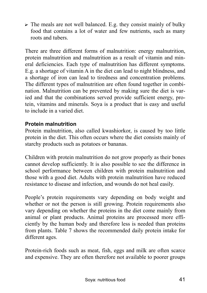$\triangleright$  The meals are not well balanced. E.g. they consist mainly of bulky food that contains a lot of water and few nutrients, such as many roots and tubers.

There are three different forms of malnutrition: energy malnutrition, protein malnutrition and malnutrition as a result of vitamin and mineral deficiencies. Each type of malnutrition has different symptoms. E.g. a shortage of vitamin A in the diet can lead to night blindness, and a shortage of iron can lead to tiredness and concentration problems. The different types of malnutrition are often found together in combination. Malnutrition can be prevented by making sure the diet is varied and that the combinations served provide sufficient energy, protein, vitamins and minerals. Soya is a product that is easy and useful to include in a varied diet.

#### **Protein malnutrition**

Protein malnutrition, also called kwashiorkor, is caused by too little protein in the diet. This often occurs where the diet consists mainly of starchy products such as potatoes or bananas.

Children with protein malnutrition do not grow properly as their bones cannot develop sufficiently. It is also possible to see the difference in school performance between children with protein malnutrition and those with a good diet. Adults with protein malnutrition have reduced resistance to disease and infection, and wounds do not heal easily.

People's protein requirements vary depending on body weight and whether or not the person is still growing. Protein requirements also vary depending on whether the proteins in the diet come mainly from animal or plant products. Animal proteins are processed more efficiently by the human body and therefore less is needed than proteins from plants. Table 7 shows the recommended daily protein intake for different ages.

Protein-rich foods such as meat, fish, eggs and milk are often scarce and expensive. They are often therefore not available to poorer groups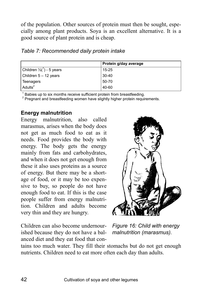of the population. Other sources of protein must then be sought, especially among plant products. Soya is an excellent alternative. It is a good source of plant protein and is cheap.

|                                      | Protein g/day average |
|--------------------------------------|-----------------------|
| Children $\frac{1}{2}$ (1) - 5 years | 15-25                 |
| Children 5 - 12 years                | $30 - 40$             |
| Teenagers                            | 50-70                 |
| Adults <sup>2</sup>                  | 40-60                 |

#### *Table 7: Recommended daily protein intake*

<sup>1</sup> Babies up to six months receive sufficient protein from breastfeeding.<br><sup>2</sup> Prograpt and breastfeeding women boye elightly bigher protein required.

Pregnant and breastfeeding women have slightly higher protein requirements.

#### **Energy malnutrition**

Energy malnutrition, also called marasmus, arises when the body does not get as much food to eat as it needs. Food provides the body with energy. The body gets the energy mainly from fats and carbohydrates, and when it does not get enough from these it also uses proteins as a source of energy. But there may be a shortage of food, or it may be too expensive to buy, so people do not have enough food to eat. If this is the case people suffer from energy malnutrition. Children and adults become very thin and they are hungry.



Children can also become undernourished because they do not have a balanced diet and they eat food that con-

*Figure 16: Child with energy malnutrition (marasmus).* 

tains too much water. They fill their stomachs but do not get enough nutrients. Children need to eat more often each day than adults.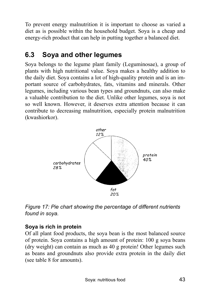To prevent energy malnutrition it is important to choose as varied a diet as is possible within the household budget. Soya is a cheap and energy-rich product that can help in putting together a balanced diet.

### **6.3 Soya and other legumes**

Soya belongs to the legume plant family (Leguminosae), a group of plants with high nutritional value. Soya makes a healthy addition to the daily diet. Soya contains a lot of high-quality protein and is an important source of carbohydrates, fats, vitamins and minerals. Other legumes, including various bean types and groundnuts, can also make a valuable contribution to the diet. Unlike other legumes, soya is not so well known. However, it deserves extra attention because it can contribute to decreasing malnutrition, especially protein malnutrition (kwashiorkor).



*Figure 17: Pie chart showing the percentage of different nutrients found in soya.* 

### **Soya is rich in protein**

Of all plant food products, the soya bean is the most balanced source of protein. Soya contains a high amount of protein: 100 g soya beans (dry weight) can contain as much as 40 g protein! Other legumes such as beans and groundnuts also provide extra protein in the daily diet (see table 8 for amounts).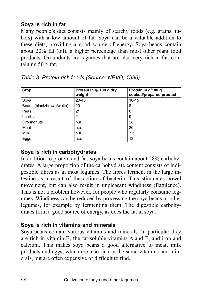### **Soya is rich in fat**

Many people's diet consists mainly of starchy foods (e.g. grains, tubers) with a low amount of fat. Soya can be a valuable addition to these diets, providing a good source of energy. Soya beans contain about 20% fat (oil), a higher percentage than most other plant food products. Groundnuts are legumes that are also very rich in fat, containing 50% fat.

| Crop                      | Protein in g/ 100 g dry<br>weight | Protein in g/100 g<br>cooked/prepared product |
|---------------------------|-----------------------------------|-----------------------------------------------|
| Soya                      | $20 - 40$                         | $10 - 15$                                     |
| Beans (black/brown/white) | 20                                | 8                                             |
| Peas                      | 21                                | 8                                             |
| Lentils                   | 21                                | 9                                             |
| Groundnuts                | n.a.                              | 28                                            |
| Meat                      | n.a.                              | 20                                            |
| Milk                      | n.a.                              | 3.5                                           |
| Eggs                      | n.a.                              | 13                                            |

| Table 8: Protein-rich foods (Source: NEVO, 1996) |
|--------------------------------------------------|
|--------------------------------------------------|

### **Soya is rich in carbohydrates**

In addition to protein and fat, soya beans contain about 28% carbohydrates. A large proportion of the carbohydrate content consists of indigestible fibres as in most legumes. The fibres ferment in the large intestine as a result of the action of bacteria. This stimulates bowel movement, but can also result in unpleasant windiness (flatulence). This is not a problem however, for people who regularly consume legumes. Windiness can be reduced by processing the soya beans or other legumes, for example by fermenting them. The digestible carbohydrates form a good source of energy, as does the fat in soya.

### **Soya is rich in vitamins and minerals**

Soya beans contain various vitamins and minerals. In particular they are rich in vitamin B, the fat-soluble vitamins A and E, and iron and calcium. This makes soya beans a good alternative to meat, milk products and eggs, which are also rich in the same vitamins and minerals, but are often expensive or difficult to find.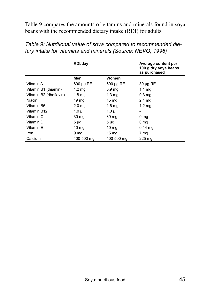Table 9 compares the amounts of vitamins and minerals found in soya beans with the recommended dietary intake (RDI) for adults.

|                         | RDI/day           |                   | Average content per<br>100 g dry soya beans<br>as purchased |
|-------------------------|-------------------|-------------------|-------------------------------------------------------------|
|                         | Men               | Women             |                                                             |
| Vitamin A               | 600 µg RE         | $500 \mu g RE$    | $80 \mu g RE$                                               |
| Vitamin B1 (thiamin)    | $1.2 \text{ mg}$  | 0.9 <sub>mg</sub> | $1.1 \text{ ma}$                                            |
| Vitamin B2 (riboflavin) | 1.8 <sub>mg</sub> | 1.3 <sub>mq</sub> | 0.3 <sub>ma</sub>                                           |
| Niacin                  | 19 <sub>mg</sub>  | $15 \text{ mg}$   | $2.1 \text{ mg}$                                            |
| Vitamin B6              | 2.0 <sub>ma</sub> | 1.6 <sub>mq</sub> | 1.2 <sub>mq</sub>                                           |
| Vitamin B12             | $1.0\mu$          | $1.0 \mu$         |                                                             |
| Vitamin C               | $30 \text{ mg}$   | 30 <sub>mg</sub>  | 0 <sub>mg</sub>                                             |
| Vitamin D               | $5 \mu g$         | $5 \mu g$         | 0 <sub>mg</sub>                                             |
| Vitamin E               | 10 <sub>mg</sub>  | $10 \text{ mg}$   | $0.14$ mg                                                   |
| <b>Iron</b>             | 9 <sub>mg</sub>   | $15 \text{ mg}$   | 7 mg                                                        |
| Calcium                 | 400-500 mg        | 400-500 mg        | $225 \text{ mg}$                                            |

*Table 9: Nutritional value of soya compared to recommended dietary intake for vitamins and minerals (Source: NEVO, 1996)*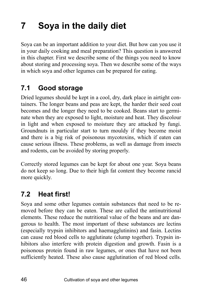## **7 Soya in the daily diet**

Soya can be an important addition to your diet. But how can you use it in your daily cooking and meal preparation? This question is answered in this chapter. First we describe some of the things you need to know about storing and processing soya. Then we describe some of the ways in which soya and other legumes can be prepared for eating.

### **7.1 Good storage**

Dried legumes should be kept in a cool, dry, dark place in airtight containers. The longer beans and peas are kept, the harder their seed coat becomes and the longer they need to be cooked. Beans start to germinate when they are exposed to light, moisture and heat. They discolour in light and when exposed to moisture they are attacked by fungi. Groundnuts in particular start to turn mouldy if they become moist and there is a big risk of poisonous mycotoxins, which if eaten can cause serious illness. These problems, as well as damage from insects and rodents, can be avoided by storing properly.

Correctly stored legumes can be kept for about one year. Soya beans do not keep so long. Due to their high fat content they become rancid more quickly.

### **7.2 Heat first!**

Soya and some other legumes contain substances that need to be removed before they can be eaten. These are called the antinutritional elements. These reduce the nutritional value of the beans and are dangerous to health. The most important of these substances are lectins (especially trypsin inhibitors and haemagglutinins) and fasin. Lectins can cause red blood cells to agglutinate (clump together). Trypsin inhibitors also interfere with protein digestion and growth. Fasin is a poisonous protein found in raw legumes, or ones that have not been sufficiently heated. These also cause agglutination of red blood cells.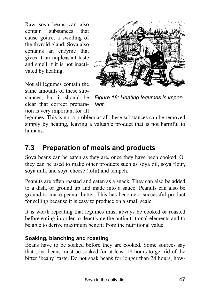Raw soya beans can also contain substances that cause goitre, a swelling of the thyroid gland. Soya also contains an enzyme that gives it an unpleasant taste and smell if it is not inactivated by heating.





*Figure 18: Heating legumes is important.* 

legumes. This is not a problem as all these substances can be removed simply by heating, leaving a valuable product that is not harmful to humans.

### **7.3 Preparation of meals and products**

Soya beans can be eaten as they are, once they have been cooked. Or they can be used to make other products such as soya oil, soya flour, soya milk and soya cheese (tofu) and tempeh.

Peanuts are often roasted and eaten as a snack. They can also be added to a dish, or ground up and made into a sauce. Peanuts can also be ground to make peanut butter. This has become a successful product for selling because it is easy to produce on a small scale.

It is worth repeating that legumes must always be cooked or roasted before eating in order to deactivate the antinutritional elements and to be able to derive maximum benefit from the nutritional value.

#### **Soaking, blanching and roasting**

Beans have to be soaked before they are cooked. Some sources say that soya beans must be soaked for at least 18 hours to get rid of the bitter 'beany' taste. Do not soak beans for longer than 24 hours, how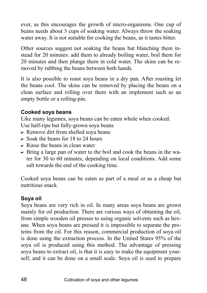ever, as this encourages the growth of micro-organisms. One cup of beans needs about 3 cups of soaking water. Always throw the soaking water away. It is not suitable for cooking the beans, as it tastes bitter.

Other sources suggest not soaking the beans but blanching them instead for 20 minutes: add them to already boiling water, boil them for 20 minutes and then plunge them in cold water. The skins can be removed by rubbing the beans between both hands.

It is also possible to roast soya beans in a dry pan. After roasting let the beans cool. The skins can be removed by placing the beans on a clean surface and rolling over them with an implement such as an empty bottle or a rolling-pin.

### **Cooked soya beans**

Like many legumes, soya beans can be eaten whole when cooked. Use half-ripe but fully-grown soya beans

- $\triangleright$  Remove dirt from shelled soya beans
- $\triangleright$  Soak the beans for 18 to 24 hours
- $\triangleright$  Rinse the beans in clean water
- $\triangleright$  Bring a large pan of water to the boil and cook the beans in the water for 30 to 60 minutes, depending on local conditions. Add some salt towards the end of the cooking time.

Cooked soya beans can be eaten as part of a meal or as a cheap but nutritious snack.

### **Soya oil**

Soya beans are very rich in oil. In many areas soya beans are grown mainly for oil production. There are various ways of obtaining the oil, from simple wooden oil presses to using organic solvents such as hexane. When soya beans are pressed it is impossible to separate the proteins from the oil. For this reason, commercial production of soya oil is done using the extraction process. In the United States 95% of the soya oil is produced using this method. The advantage of pressing soya beans to extract oil, is that it is easy to make the equipment yourself, and it can be done on a small scale. Soya oil is used to prepare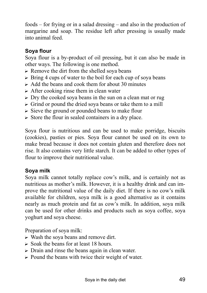foods  $-$  for frying or in a salad dressing  $-$  and also in the production of margarine and soap. The residue left after pressing is usually made into animal feed.

### **Soya flour**

Soya flour is a by-product of oil pressing, but it can also be made in other ways. The following is one method.

- $\triangleright$  Remove the dirt from the shelled soya beans
- $\triangleright$  Bring 4 cups of water to the boil for each cup of soya beans
- $\triangleright$  Add the beans and cook them for about 30 minutes
- $\triangleright$  After cooking rinse them in clean water
- $\triangleright$  Dry the cooked soya beans in the sun on a clean mat or rug
- $\triangleright$  Grind or pound the dried soya beans or take them to a mill
- $\triangleright$  Sieve the ground or pounded beans to make flour
- $\triangleright$  Store the flour in sealed containers in a dry place.

Soya flour is nutritious and can be used to make porridge, biscuits (cookies), pasties or pies. Soya flour cannot be used on its own to make bread because it does not contain gluten and therefore does not rise. It also contains very little starch. It can be added to other types of flour to improve their nutritional value.

### **Soya milk**

Soya milk cannot totally replace cow's milk, and is certainly not as nutritious as mother's milk. However, it is a healthy drink and can improve the nutritional value of the daily diet. If there is no cow's milk available for children, soya milk is a good alternative as it contains nearly as much protein and fat as cow's milk. In addition, soya milk can be used for other drinks and products such as soya coffee, soya yoghurt and soya cheese.

Preparation of soya milk:

- $\triangleright$  Wash the soya beans and remove dirt.
- $\triangleright$  Soak the beans for at least 18 hours.
- $\triangleright$  Drain and rinse the beans again in clean water.
- $\triangleright$  Pound the beans with twice their weight of water.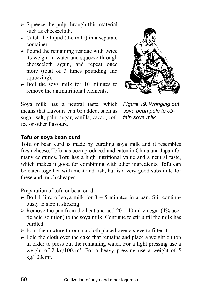- $\triangleright$  Squeeze the pulp through thin material such as cheesecloth.
- $\triangleright$  Catch the liquid (the milk) in a separate container.
- $\triangleright$  Pound the remaining residue with twice its weight in water and squeeze through cheesecloth again, and repeat once more (total of 3 times pounding and squeezing).
- $\triangleright$  Boil the sova milk for 10 minutes to remove the antinutritional elements.

Soya milk has a neutral taste, which means that flavours can be added, such as sugar, salt, palm sugar, vanilla, cacao, coffee or other flavours.



*Figure 19: Wringing out soya bean pulp to obtain soya milk.* 

#### **Tofu or soya bean curd**

Tofu or bean curd is made by curdling soya milk and it resembles fresh cheese. Tofu has been produced and eaten in China and Japan for many centuries. Tofu has a high nutritional value and a neutral taste, which makes it good for combining with other ingredients. Tofu can be eaten together with meat and fish, but is a very good substitute for these and much cheaper.

Preparation of tofu or bean curd:

- $\triangleright$  Boil 1 litre of soya milk for 3 5 minutes in a pan. Stir continuously to stop it sticking.
- $\triangleright$  Remove the pan from the heat and add 20 40 ml vinegar (4% acetic acid solution) to the soya milk. Continue to stir until the milk has curdled.
- $\triangleright$  Pour the mixture through a cloth placed over a sieve to filter it
- $\triangleright$  Fold the cloth over the cake that remains and place a weight on top in order to press out the remaining water. For a light pressing use a weight of 2 kg/100cm². For a heavy pressing use a weight of 5 kg/100cm².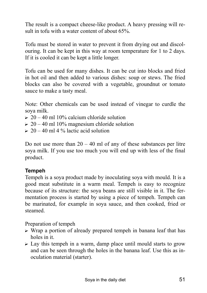The result is a compact cheese-like product. A heavy pressing will result in tofu with a water content of about 65%.

Tofu must be stored in water to prevent it from drying out and discolouring. It can be kept in this way at room temperature for 1 to 2 days. If it is cooled it can be kept a little longer.

Tofu can be used for many dishes. It can be cut into blocks and fried in hot oil and then added to various dishes: soup or stews. The fried blocks can also be covered with a vegetable, groundnut or tomato sauce to make a tasty meal.

Note: Other chemicals can be used instead of vinegar to curdle the soya milk.

- $\geq 20 40$  ml 10% calcium chloride solution
- $\geq 20 40$  ml 10% magnesium chloride solution
- $\geq 20 40$  ml 4 % lactic acid solution

Do not use more than  $20 - 40$  ml of any of these substances per litre soya milk. If you use too much you will end up with less of the final product.

#### **Tempeh**

Tempeh is a soya product made by inoculating soya with mould. It is a good meat substitute in a warm meal. Tempeh is easy to recognize because of its structure: the soya beans are still visible in it. The fermentation process is started by using a piece of tempeh. Tempeh can be marinated, for example in soya sauce, and then cooked, fried or steamed.

Preparation of tempeh

- $\triangleright$  Wrap a portion of already prepared tempeh in banana leaf that has holes in it.
- $\triangleright$  Lay this tempeh in a warm, damp place until mould starts to grow and can be seen through the holes in the banana leaf. Use this as inoculation material (starter).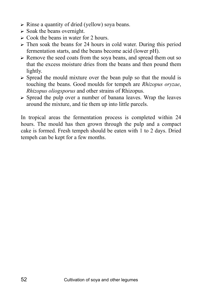- $\triangleright$  Rinse a quantity of dried (yellow) soya beans.
- $\triangleright$  Soak the beans overnight.
- $\triangleright$  Cook the beans in water for 2 hours.
- $\triangleright$  Then soak the beans for 24 hours in cold water. During this period fermentation starts, and the beans become acid (lower pH).
- $\triangleright$  Remove the seed coats from the sova beans, and spread them out so that the excess moisture dries from the beans and then pound them lightly.
- $\triangleright$  Spread the mould mixture over the bean pulp so that the mould is touching the beans. Good moulds for tempeh are *Rhizopus oryzae*, *Rhizopus oliogsporus* and other strains of Rhizopus.
- $\triangleright$  Spread the pulp over a number of banana leaves. Wrap the leaves around the mixture, and tie them up into little parcels.

In tropical areas the fermentation process is completed within 24 hours. The mould has then grown through the pulp and a compact cake is formed. Fresh tempeh should be eaten with 1 to 2 days. Dried tempeh can be kept for a few months.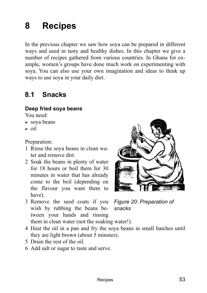## **8 Recipes**

In the previous chapter we saw how soya can be prepared in different ways and used in tasty and healthy dishes. In this chapter we give a number of recipes gathered from various countries. In Ghana for example, women's groups have done much work on experimenting with soya. You can also use your own imagination and ideas to think up ways to use soya in your daily diet.

### **8.1 Snacks**

### **Deep fried soya beans**

You need:

- $\triangleright$  sova beans
- $\triangleright$  oil

Preparation:

- 1 Rinse the soya beans in clean water and remove dirt.
- 2 Soak the beans in plenty of water for 18 hours or boil them for 30 minutes in water that has already come to the boil (depending on the flavour you want them to have).



- 3 Remove the seed coats if you *Figure 20: Preparation of*  wish by rubbing the beans between your hands and rinsing them in clean water (not the soaking water!).
	-
- 4 Heat the oil in a pan and fry the soya beans in small batches until they are light brown (about 5 minutes).
- 5 Drain the rest of the oil.
- 6 Add salt or sugar to taste and serve.

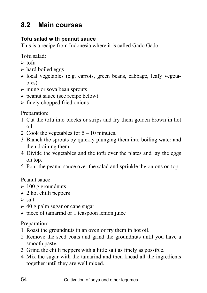### **8.2 Main courses**

### **Tofu salad with peanut sauce**

This is a recipe from Indonesia where it is called Gado Gado.

Tofu salad:

- $\triangleright$  tofu
- $\triangleright$  hard boiled eggs
- $\triangleright$  local vegetables (e.g. carrots, green beans, cabbage, leafy vegetables)
- $\triangleright$  mung or soya bean sprouts
- $\triangleright$  peanut sauce (see recipe below)
- $\triangleright$  finely chopped fried onions

Preparation:

- 1 Cut the tofu into blocks or strips and fry them golden brown in hot oil.
- 2 Cook the vegetables for  $5 10$  minutes.
- 3 Blanch the sprouts by quickly plunging them into boiling water and then draining them.
- 4 Divide the vegetables and the tofu over the plates and lay the eggs on top.
- 5 Pour the peanut sauce over the salad and sprinkle the onions on top.

Peanut sauce:

- $\geq 100$  g groundnuts
- $\geq 2$  hot chilli peppers
- $\triangleright$  salt
- $\geq 40$  g palm sugar or cane sugar
- $\triangleright$  piece of tamarind or 1 teaspoon lemon juice

Preparation:

- 1 Roast the groundnuts in an oven or fry them in hot oil.
- 2 Remove the seed coats and grind the groundnuts until you have a smooth paste.
- 3 Grind the chilli peppers with a little salt as finely as possible.
- 4 Mix the sugar with the tamarind and then knead all the ingredients together until they are well mixed.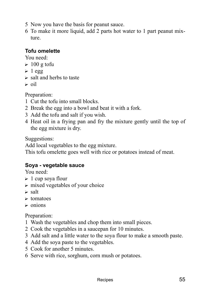- 5 Now you have the basis for peanut sauce.
- 6 To make it more liquid, add 2 parts hot water to 1 part peanut mixture.

### **Tofu omelette**

You need:

- $\geq 100$  g tofu
- $\blacktriangleright$  1 egg
- $\triangleright$  salt and herbs to taste
- $\triangleright$  oil

Preparation:

- 1 Cut the tofu into small blocks.
- 2 Break the egg into a bowl and beat it with a fork.
- 3 Add the tofu and salt if you wish.
- 4 Heat oil in a frying pan and fry the mixture gently until the top of the egg mixture is dry.

Suggestions:

Add local vegetables to the egg mixture.

This tofu omelette goes well with rice or potatoes instead of meat.

### **Soya - vegetable sauce**

You need:

- $\geq 1$  cup soya flour
- $\triangleright$  mixed vegetables of your choice
- $\triangleright$  salt
- $\triangleright$  tomatoes
- $\triangleright$  onions

Preparation:

- 1 Wash the vegetables and chop them into small pieces.
- 2 Cook the vegetables in a saucepan for 10 minutes.
- 3 Add salt and a little water to the soya flour to make a smooth paste.
- 4 Add the soya paste to the vegetables.
- 5 Cook for another 5 minutes.
- 6 Serve with rice, sorghum, corn mush or potatoes.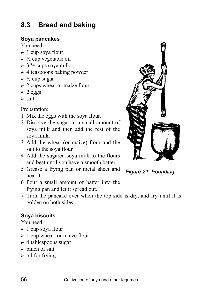### **8.3 Bread and baking**

#### **Soya pancakes**

You need:

- $\geq 1$  cup sova flour
- $\triangleright$  ½ cup vegetable oil
- $\geq 3 \frac{1}{2}$  cups soya milk
- $\triangleright$  4 teaspoons baking powder
- $\triangleright$  ½ cup sugar
- $\geq 2$  cups wheat or maize flour
- $\geq 2$  eggs
- $\blacktriangleright$  salt

Preparation:

- 1 Mix the eggs with the soya flour.
- 2 Dissolve the sugar in a small amount of soya milk and then add the rest of the soya milk.
- 3 Add the wheat (or maize) flour and the salt to the soya flour.
- 4 Add the sugared soya milk to the flours and beat until you have a smooth batter.
- 5 Grease a frying pan or metal sheet and heat it.
- 6 Pour a small amount of batter into the frying pan and let it spread out.
- 7 Turn the pancake over when the top side is dry, and fry until it is golden on both sides.

### **Soya biscuits**

You need:

- $\geq 1$  cup soya flour
- $\geq 1$  cup wheat- or maize flour
- $\geq 4$  tablespoons sugar
- $\triangleright$  pinch of salt
- $\triangleright$  oil for frying



*Figure 21: Pounding*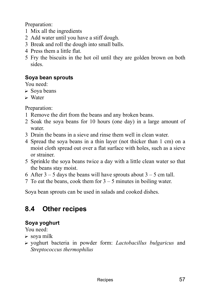Preparation:

- 1 Mix all the ingredients
- 2 Add water until you have a stiff dough.
- 3 Break and roll the dough into small balls.
- 4 Press them a little flat.
- 5 Fry the biscuits in the hot oil until they are golden brown on both sides.

### **Soya bean sprouts**

You need:

- $\triangleright$  Sova beans
- $\triangleright$  Water

Preparation:

- 1 Remove the dirt from the beans and any broken beans.
- 2 Soak the soya beans for 10 hours (one day) in a large amount of water.
- 3 Drain the beans in a sieve and rinse them well in clean water.
- 4 Spread the soya beans in a thin layer (not thicker than 1 cm) on a moist cloth spread out over a flat surface with holes, such as a sieve or strainer.
- 5 Sprinkle the soya beans twice a day with a little clean water so that the beans stay moist.
- 6 After  $3 5$  days the beans will have sprouts about  $3 5$  cm tall.
- 7 To eat the beans, cook them for  $3 5$  minutes in boiling water.

Soya bean sprouts can be used in salads and cooked dishes.

### **8.4 Other recipes**

### **Soya yoghurt**

You need:

- $\triangleright$  sova milk
- ? yoghurt bacteria in powder form: *Lactobacillus bulgaricus* and *Streptococcus thermophilus*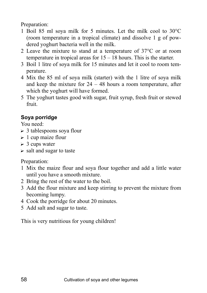Preparation:

- 1 Boil 85 ml soya milk for 5 minutes. Let the milk cool to 30°C (room temperature in a tropical climate) and dissolve 1 g of powdered yoghurt bacteria well in the milk.
- 2 Leave the mixture to stand at a temperature of 37°C or at room temperature in tropical areas for  $15 - 18$  hours. This is the starter.
- 3 Boil 1 litre of soya milk for 15 minutes and let it cool to room temperature.
- 4 Mix the 85 ml of soya milk (starter) with the 1 litre of soya milk and keep the mixture for  $24 - 48$  hours a room temperature, after which the yoghurt will have formed.
- 5 The yoghurt tastes good with sugar, fruit syrup, fresh fruit or stewed fruit.

### **Soya porridge**

You need:

- $\geq 3$  tablespoons soya flour
- $\geq 1$  cup maize flour
- $\geq 3$  cups water
- $\triangleright$  salt and sugar to taste

Preparation:

- 1 Mix the maize flour and soya flour together and add a little water until you have a smooth mixture.
- 2 Bring the rest of the water to the boil.
- 3 Add the flour mixture and keep stirring to prevent the mixture from becoming lumpy.
- 4 Cook the porridge for about 20 minutes.
- 5 Add salt and sugar to taste.

This is very nutritious for young children!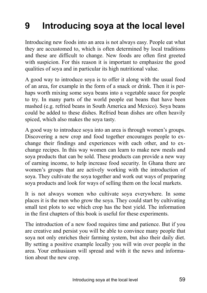## **9 Introducing soya at the local level**

Introducing new foods into an area is not always easy. People eat what they are accustomed to, which is often determined by local traditions and these are difficult to change. New foods are often first greeted with suspicion. For this reason it is important to emphasize the good qualities of soya and in particular its high nutritional value.

A good way to introduce soya is to offer it along with the usual food of an area, for example in the form of a snack or drink. Then it is perhaps worth mixing some soya beans into a vegetable sauce for people to try. In many parts of the world people eat beans that have been mashed (e.g. refried beans in South America and Mexico). Soya beans could be added to these dishes. Refried bean dishes are often heavily spiced, which also makes the soya tasty.

A good way to introduce soya into an area is through women's groups. Discovering a new crop and food together encourages people to exchange their findings and experiences with each other, and to exchange recipes. In this way women can learn to make new meals and soya products that can be sold. These products can provide a new way of earning income, to help increase food security. In Ghana there are women's groups that are actively working with the introduction of soya. They cultivate the soya together and work out ways of preparing soya products and look for ways of selling them on the local markets.

It is not always women who cultivate soya everywhere. In some places it is the men who grow the soya. They could start by cultivating small test plots to see which crop has the best yield. The information in the first chapters of this book is useful for these experiments.

The introduction of a new food requires time and patience. But if you are creative and persist you will be able to convince many people that soya not only enriches their farming system, but also their daily diet. By setting a positive example locally you will win over people in the area. Your enthusiasm will spread and with it the news and information about the new crop.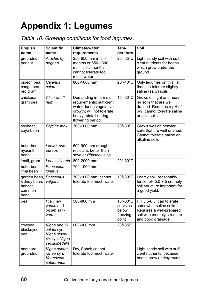## **Appendix 1: Legumes**

| Table 10: Growing conditions for food legumes. |  |
|------------------------------------------------|--|
|------------------------------------------------|--|

| <b>English</b><br>name                                     | <b>Scientific</b><br>name                                                      | Climate/water<br>requirements                                                                                                                          | Tem-<br>perature                                                  | Soil                                                                                                                                |
|------------------------------------------------------------|--------------------------------------------------------------------------------|--------------------------------------------------------------------------------------------------------------------------------------------------------|-------------------------------------------------------------------|-------------------------------------------------------------------------------------------------------------------------------------|
| groundnut,<br>peanut                                       | Arachis hy-<br>pogaea                                                          | 250-650 mm in 3-4<br>months or 650-1300<br>mm in 4-5 months:<br>cannot tolerate too<br>much water                                                      | $20^\circ - 35^\circ C$                                           | Light sandy soil with suffi-<br>cient nutrients for beans<br>which grow under the<br>ground                                         |
| pigeon pea,<br>congo pea,<br>red gram                      | Cajanus<br>cajan                                                               | 800-1000 mm                                                                                                                                            | 20°-40°C                                                          | Only legumes on this list<br>that can tolerate slightly<br>saline (salty) soils                                                     |
| chickpea,<br>gram pea                                      | Cicer arieti-<br>num                                                           | Demanding in terms of<br>requirements: sufficient<br>water during vegetative<br>growth; will not tolerate<br>heavy rainfall during<br>flowering period | $15^\circ - 30^\circ$ C                                           | Grows on light and heav-<br>ier soils that are well<br>drained. Requires a pH of<br>6-9, cannot tolerate saline<br>or acid soils    |
| soybean,<br>soya bean                                      | Glycine max                                                                    | 700-1000 mm                                                                                                                                            | 20°-30°C                                                          | Grows well on heavier<br>soils that are well drained.<br>Cannot tolerate saline or<br>alkaline soils                                |
| butterbean,<br>hyacinth<br>bean                            | Lablab pur-<br>pureus                                                          | 600-900 mm drought<br>resistant, better than<br>soya or Phaseolus sp.                                                                                  |                                                                   |                                                                                                                                     |
| lentil, gram                                               | Lens culinaris                                                                 | 800-2000 mm                                                                                                                                            | $20^\circ - 30^\circ$ C                                           |                                                                                                                                     |
| butterbean,<br>lima bean                                   | Phaseolus<br>lunatus                                                           | 700-1000 mm                                                                                                                                            |                                                                   |                                                                                                                                     |
| garden bean,<br>kidney bean,<br>haricot,<br>common<br>bean | Phaseolus<br>vulgaris                                                          | 700-1000 mm; cannot<br>tolerate too much water                                                                                                         | 10°-30°C                                                          | Loamy soil, reasonably<br>fertile, pH 5.0-7.5 crumbly<br>soil structure important for<br>a good yield.                              |
| pea                                                        | Pisumar-<br>vense and<br>pisum sati-<br>vum                                    | 500-800 mm                                                                                                                                             | $10^\circ - 30^\circ C$<br>survives<br>below<br>freezing<br>point | PH 5.5-6.8, can tolerate<br>somewhat saline soils.<br>Requires a well-prepared<br>soil with crumbly structure<br>and good drainage. |
| cowpea,<br>blackeyed<br>pea                                | Vigna ungui-<br>culata syn.<br>Vigna sinen-<br>sis syn. Vigna<br>sesquipedalis | 600-900 mm                                                                                                                                             | 20°-35°C                                                          |                                                                                                                                     |
| bambara<br>groundnut                                       | Vigna subter-<br>ranea syn.<br>Voandzeia<br>subteranea                         | Dry, Sahel; cannot<br>tolerate too much water                                                                                                          |                                                                   | Light sandy soil with suffi-<br>cient nutrients, because<br>beans grow underground                                                  |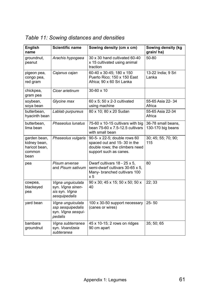| <b>English</b><br>name                                          | <b>Scientific name</b>                                                    | Sowing density (cm x cm)                                                                                                | Sowing density (kg<br>grain/ha)         |
|-----------------------------------------------------------------|---------------------------------------------------------------------------|-------------------------------------------------------------------------------------------------------------------------|-----------------------------------------|
| groundnut,<br>peanut                                            | Arachis hypogaea                                                          | 30 x 30 hand cultivated 60-40<br>x 15 cultivated using animal<br>traction                                               | 50-80                                   |
| pigeon pea,<br>congo pea,<br>red gram                           | Cajanus cajan                                                             | 60-40 x 30-45; 180 x 150<br>Puerto Rico; 150 x 150 East<br>Africa: 90 x 60 Sri Lanka                                    | 13-22 India; 9 Sri<br>Lanka             |
| chickpea,<br>gram pea                                           | Cicer arietinum                                                           | 30-60 x 10                                                                                                              |                                         |
| soybean,<br>sova bean                                           | Glycine max                                                               | 60 x 5; 50 x 2-3 cultivated<br>using machine                                                                            | 55-65 Asia 22-34<br>Africa              |
| butterbean,<br>hyacinth bean                                    | Lablab purpureus                                                          | 80 x 10; 80 x 20 Sudan                                                                                                  | 55-65 Asia 22-34<br>Africa              |
| butterbean,<br>lima bean                                        | Phaseolus lunatus                                                         | 75-60 x 10-15 cultivars with big<br>bean 75-60 x 7.5-12.5 cultivars<br>with small bean                                  | 36-78 small beans,<br>130-170 big beans |
| garden bean,<br>kidney bean,<br>haricot bean.<br>common<br>bean | Phaseolus vulgaris                                                        | 90-5- x 22-5; double rows 60<br>spaced out and 15-30 in the<br>double rows; the climbers need<br>support such as canes. | 30; 45; 55; 70; 90;<br>115              |
| pea                                                             | Pisum arvense<br>and Pisum sativum                                        | Dwarf cultivars 18 - 25 x 5,<br>semi-dwarf cultivars 30-65 x 5,<br>Many- branched cultivars 100<br>x <sub>5</sub>       | 80                                      |
| cowpea,<br>blackeyed<br>pea                                     | Vigna unguiculata<br>syn. Vigna sinen-<br>sis syn. Vigna<br>sesquipedalis | 90 x 30; 45 x 15; 50 x 50; 50 x<br>40                                                                                   | 22:33                                   |
| yard bean                                                       | Vigna unguiculata<br>ssp sesquipedalis<br>syn. Vigna sesqui-<br>pedalis   | 100 x 30-50 support necessary<br>(canes or wires)                                                                       | $25 - 50$                               |
| bambara<br>groundnut                                            | Vigna subterranea<br>syn. Voandzeia<br>subteranea                         | 45 x 10-15; 2 rows on ridges<br>90 cm apart                                                                             | 35:50:65                                |

*Table 11: Sowing distances and densities*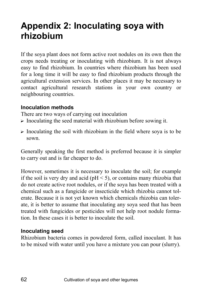## **Appendix 2: Inoculating soya with rhizobium**

If the soya plant does not form active root nodules on its own then the crops needs treating or inoculating with rhizobium. It is not always easy to find rhizobium. In countries where rhizobium has been used for a long time it will be easy to find rhizobium products through the agricultural extension services. In other places it may be necessary to contact agricultural research stations in your own country or neighbouring countries.

#### **Inoculation methods**

There are two ways of carrying out inoculation

- $\triangleright$  Inoculating the seed material with rhizobium before sowing it.
- $\triangleright$  Inoculating the soil with rhizobium in the field where soya is to be sown.

Generally speaking the first method is preferred because it is simpler to carry out and is far cheaper to do.

However, sometimes it is necessary to inoculate the soil; for example if the soil is very dry and acid ( $pH < 5$ ), or contains many rhizobia that do not create active root nodules, or if the soya has been treated with a chemical such as a fungicide or insecticide which rhizobia cannot tolerate. Because it is not yet known which chemicals rhizobia can tolerate, it is better to assume that inoculating any soya seed that has been treated with fungicides or pesticides will not help root nodule formation. In these cases it is better to inoculate the soil.

#### **Inoculating seed**

Rhizobium bacteria comes in powdered form, called inoculant. It has to be mixed with water until you have a mixture you can pour (slurry).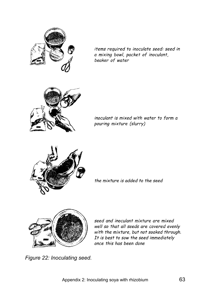

items required to inoculate seed: seed in a mixing bowl, packet of inoculant, beaker of water



inoculant is mixed with water to form a pouring mixture (slurry)



the mixture is added to the seed



seed and inoculant mixture are mixed well so that all seeds are covered evenly with the mixture, but not soaked through. It is best to sow the seed immediately once this has been done

*Figure 22: Inoculating seed.*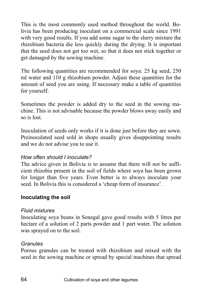This is the most commonly used method throughout the world. Bolivia has been producing inoculant on a commercial scale since 1991 with very good results. If you add some sugar to the slurry mixture the rhizobium bacteria die less quickly during the drying. It is important that the seed does not get too wet, so that it does not stick together or get damaged by the sowing machine.

The following quantities are recommended for soya: 25 kg seed, 250 ml water and 110 g rhizobium powder. Adjust these quantities for the amount of seed you are using. If necessary make a table of quantities for yourself.

Sometimes the powder is added dry to the seed in the sowing machine. This is not advisable because the powder blows away easily and so is lost.

Inoculation of seeds only works if it is done just before they are sown. Preinoculated seed sold in shops usually gives disappointing results and we do not advise you to use it.

#### *How often should I inoculate?*

The advice given in Bolivia is to assume that there will not be sufficient rhizobia present in the soil of fields where soya has been grown for longer than five years. Even better is to always inoculate your seed. In Bolivia this is considered a 'cheap form of insurance'.

#### **Inoculating the soil**

#### *Fluid mixtures*

Inoculating soya beans in Senegal gave good results with 5 litres per hectare of a solution of 2 parts powder and 1 part water. The solution was sprayed on to the soil.

#### *Granules*

Porous granules can be treated with rhizobium and mixed with the seed in the sowing machine or spread by special machines that spread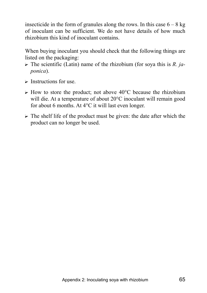insecticide in the form of granules along the rows. In this case  $6 - 8$  kg of inoculant can be sufficient. We do not have details of how much rhizobium this kind of inoculant contains.

When buying inoculant you should check that the following things are listed on the packaging:

- ? The scientific (Latin) name of the rhizobium (for soya this is *R. japonica*).
- $\triangleright$  Instructions for use.
- $\triangleright$  How to store the product; not above 40 $\degree$ C because the rhizobium will die. At a temperature of about 20°C inoculant will remain good for about 6 months. At 4°C it will last even longer.
- $\triangleright$  The shelf life of the product must be given: the date after which the product can no longer be used.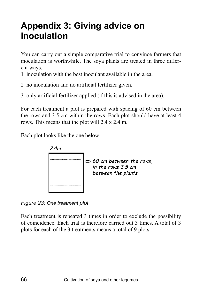## **Appendix 3: Giving advice on inoculation**

You can carry out a simple comparative trial to convince farmers that inoculation is worthwhile. The soya plants are treated in three different ways.

1 inoculation with the best inoculant available in the area.

2 no inoculation and no artificial fertilizer given.

3 only artificial fertilizer applied (if this is advised in the area).

For each treatment a plot is prepared with spacing of 60 cm between the rows and 3.5 cm within the rows. Each plot should have at least 4 rows. This means that the plot will 2.4 x 2.4 m.

Each plot looks like the one below:



*Figure 23: One treatment plot* 

Each treatment is repeated 3 times in order to exclude the possibility of coincidence. Each trial is therefore carried out 3 times. A total of 3 plots for each of the 3 treatments means a total of 9 plots.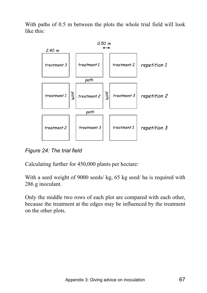With paths of 0.5 m between the plots the whole trial field will look like this:



*Figure 24: The trial field* 

Calculating further for 450,000 plants per hectare:

With a seed weight of 9000 seeds/ kg, 65 kg seed/ ha is required with 286 g inoculant.

Only the middle two rows of each plot are compared with each other, because the treatment at the edges may be influenced by the treatment on the other plots.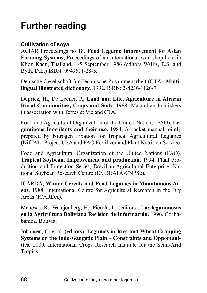## **Further reading**

### **Cultivation of soya**

ACIAR Proceedings no 18. **Food Legume Improvement for Asian Farming Systems**, Proceedings of an international workshop held in Khon Kaen, Thailand, 1-5 September 1986 (editors Wallis, E.S. and Byth, D.E.) ISBN: 0949511-28-5.

Deutsche Gesellschaft für Technische Zusammenarbeit (GTZ), Multi**lingual illustrated dictionary**. 1992. ISBN: 3-8236-1126-7.

Dupriez, H., De Leener, P., **Land and Life, Agriculture in African Rural Communities, Crops and Soils.** 1988, Macmillan Publishers in association with Terres et Vie and CTA.

Food and Agricultural Organization of the United Nations (FAO), **Leguminous Inoculants and their use.** 1984, A pocket manual jointly prepared by Nitrogen Fixation for Tropical Agricultural Legumes (NifTAL) Project USA and FAO Fertilizer and Plant Nutrition Service.

Food and Agricultural Organization of the United Nations (FAO), **Tropical Soybean, Improvement and production.** 1994, Plant Production and Protection Series, Brazilian Agricultural Enterprise, National Soybean Research Centre (EMBRAPA-CNPSo).

ICARDA, **Winter Cereals and Food Legumes in Mountainous Areas.** 1988, International Centre for Agricultural Research in the Dry Areas (ICARDA).

Meneses, R., Waaijenberg, H., PiÈrola, L. (editors), **Las leguminosas**  en la Agricultura Boliviana Revision de Información. 1996, Cochabamba, Bolivia.

Johansen, C. et al. (editors), **Legumes in Rice and Wheat Cropping Systems on the Indo-Gangetic Plain – Constraints and Opportunities.** 2000, International Crops Research Institute for the Semi-Arid Tropics.